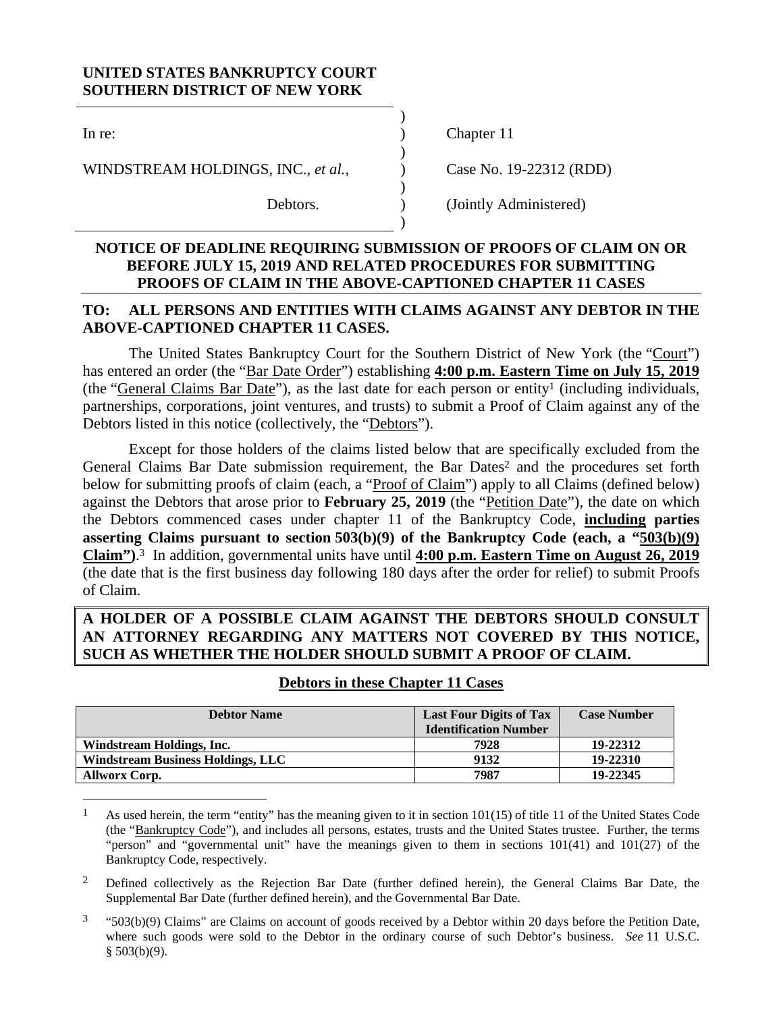# **UNITED STATES BANKRUPTCY COURT SOUTHERN DISTRICT OF NEW YORK**

 $)$ 

 $)$ 

 $)$ 

 $)$ 

 $\overline{a}$ 

WINDSTREAM HOLDINGS, INC., *et al.*,  $\qquad \qquad$  Case No. 19-22312 (RDD)

In re: (a) Chapter 11

Debtors. (Jointly Administered)

## **NOTICE OF DEADLINE REQUIRING SUBMISSION OF PROOFS OF CLAIM ON OR BEFORE JULY 15, 2019 AND RELATED PROCEDURES FOR SUBMITTING PROOFS OF CLAIM IN THE ABOVE-CAPTIONED CHAPTER 11 CASES**

# **TO: ALL PERSONS AND ENTITIES WITH CLAIMS AGAINST ANY DEBTOR IN THE ABOVE-CAPTIONED CHAPTER 11 CASES.**

The United States Bankruptcy Court for the Southern District of New York (the "Court") has entered an order (the "Bar Date Order") establishing **4:00 p.m. Eastern Time on July 15, 2019** (the "General Claims Bar Date"), as the last date for each person or entity<sup>1</sup> (including individuals, partnerships, corporations, joint ventures, and trusts) to submit a Proof of Claim against any of the Debtors listed in this notice (collectively, the "Debtors").

Except for those holders of the claims listed below that are specifically excluded from the General Claims Bar Date submission requirement, the Bar Dates<sup>2</sup> and the procedures set forth below for submitting proofs of claim (each, a "Proof of Claim") apply to all Claims (defined below) against the Debtors that arose prior to **February 25, 2019** (the "Petition Date"), the date on which the Debtors commenced cases under chapter 11 of the Bankruptcy Code, **including parties asserting Claims pursuant to section 503(b)(9) of the Bankruptcy Code (each, a "503(b)(9) Claim")**. 3 In addition, governmental units have until **4:00 p.m. Eastern Time on August 26, 2019** (the date that is the first business day following 180 days after the order for relief) to submit Proofs of Claim.

# **A HOLDER OF A POSSIBLE CLAIM AGAINST THE DEBTORS SHOULD CONSULT AN ATTORNEY REGARDING ANY MATTERS NOT COVERED BY THIS NOTICE, SUCH AS WHETHER THE HOLDER SHOULD SUBMIT A PROOF OF CLAIM.**

| <b>Debtor Name</b>                       | <b>Last Four Digits of Tax</b><br><b>Identification Number</b> | <b>Case Number</b> |
|------------------------------------------|----------------------------------------------------------------|--------------------|
| Windstream Holdings, Inc.                | 7928                                                           | 19-22312           |
| <b>Windstream Business Holdings, LLC</b> | 9132                                                           | 19-22310           |
| <b>Allworx Corp.</b>                     | 7987                                                           | 19-22345           |

#### **Debtors in these Chapter 11 Cases**

 $3$  "503(b)(9) Claims" are Claims on account of goods received by a Debtor within 20 days before the Petition Date, where such goods were sold to the Debtor in the ordinary course of such Debtor's business. *See* 11 U.S.C.  $§$  503(b)(9).

<sup>&</sup>lt;sup>1</sup> As used herein, the term "entity" has the meaning given to it in section  $101(15)$  of title 11 of the United States Code (the "Bankruptcy Code"), and includes all persons, estates, trusts and the United States trustee. Further, the terms "person" and "governmental unit" have the meanings given to them in sections 101(41) and 101(27) of the Bankruptcy Code, respectively.

<sup>2</sup> Defined collectively as the Rejection Bar Date (further defined herein), the General Claims Bar Date, the Supplemental Bar Date (further defined herein), and the Governmental Bar Date.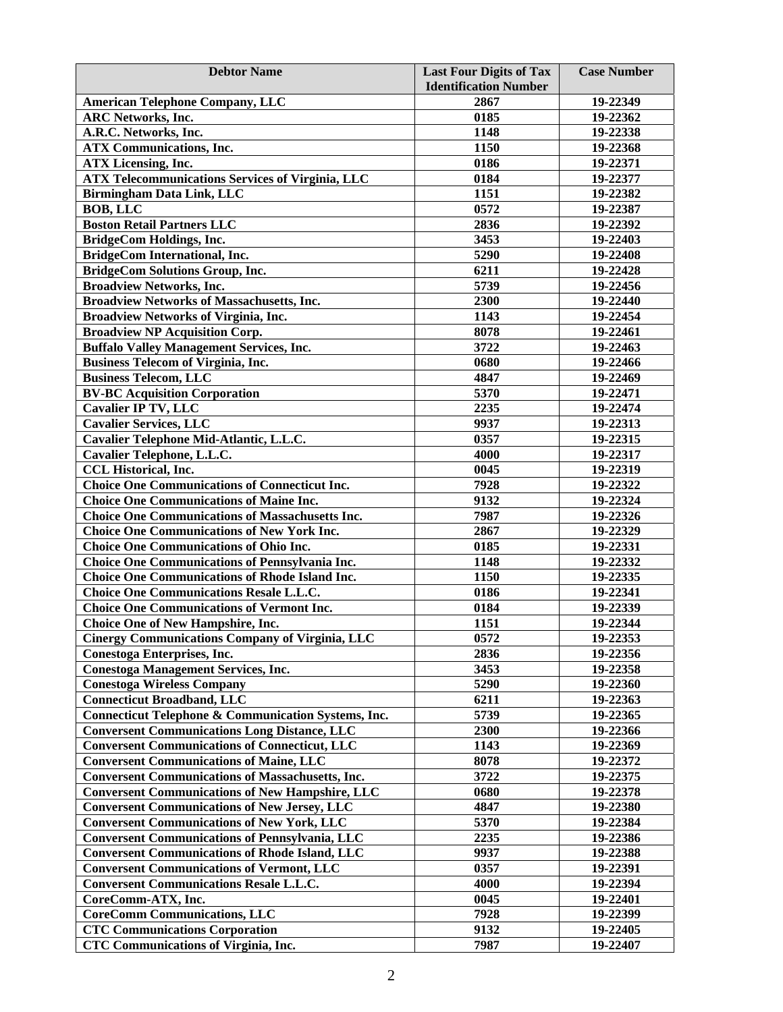| <b>Debtor Name</b>                                             | <b>Last Four Digits of Tax</b> | <b>Case Number</b> |
|----------------------------------------------------------------|--------------------------------|--------------------|
|                                                                | <b>Identification Number</b>   |                    |
| <b>American Telephone Company, LLC</b>                         | 2867                           | 19-22349           |
| <b>ARC Networks, Inc.</b>                                      | 0185                           | 19-22362           |
| A.R.C. Networks, Inc.                                          | 1148                           | 19-22338           |
| <b>ATX Communications, Inc.</b>                                | 1150                           | 19-22368           |
| <b>ATX Licensing, Inc.</b>                                     | 0186                           | 19-22371           |
| <b>ATX Telecommunications Services of Virginia, LLC</b>        | 0184                           | 19-22377           |
| <b>Birmingham Data Link, LLC</b>                               | 1151                           | 19-22382           |
| <b>BOB, LLC</b>                                                | 0572                           | 19-22387           |
| <b>Boston Retail Partners LLC</b>                              | 2836                           | 19-22392           |
| <b>BridgeCom Holdings, Inc.</b>                                | 3453                           | 19-22403           |
| BridgeCom International, Inc.                                  | 5290                           | 19-22408           |
| <b>BridgeCom Solutions Group, Inc.</b>                         | 6211                           | 19-22428           |
| <b>Broadview Networks, Inc.</b>                                | 5739                           | 19-22456           |
| <b>Broadview Networks of Massachusetts, Inc.</b>               | 2300                           | 19-22440           |
| <b>Broadview Networks of Virginia, Inc.</b>                    | 1143                           | 19-22454           |
| <b>Broadview NP Acquisition Corp.</b>                          | 8078                           | 19-22461           |
| <b>Buffalo Valley Management Services, Inc.</b>                | 3722                           | 19-22463           |
| <b>Business Telecom of Virginia, Inc.</b>                      | 0680                           | 19-22466           |
| <b>Business Telecom, LLC</b>                                   | 4847                           | 19-22469           |
| <b>BV-BC Acquisition Corporation</b>                           | 5370                           | 19-22471           |
| <b>Cavalier IP TV, LLC</b>                                     | 2235                           | 19-22474           |
| <b>Cavalier Services, LLC</b>                                  | 9937                           | 19-22313           |
| Cavalier Telephone Mid-Atlantic, L.L.C.                        | 0357                           | 19-22315           |
| Cavalier Telephone, L.L.C.                                     | 4000                           | 19-22317           |
| <b>CCL Historical, Inc.</b>                                    | 0045                           | 19-22319           |
| <b>Choice One Communications of Connecticut Inc.</b>           | 7928                           | 19-22322           |
| <b>Choice One Communications of Maine Inc.</b>                 | 9132                           | 19-22324           |
| <b>Choice One Communications of Massachusetts Inc.</b>         | 7987                           | 19-22326           |
| <b>Choice One Communications of New York Inc.</b>              | 2867                           | 19-22329           |
| <b>Choice One Communications of Ohio Inc.</b>                  | 0185                           | 19-22331           |
| <b>Choice One Communications of Pennsylvania Inc.</b>          | 1148                           | 19-22332           |
| <b>Choice One Communications of Rhode Island Inc.</b>          | 1150                           | 19-22335           |
| <b>Choice One Communications Resale L.L.C.</b>                 | 0186                           | 19-22341           |
| <b>Choice One Communications of Vermont Inc.</b>               | 0184                           | 19-22339           |
| <b>Choice One of New Hampshire, Inc.</b>                       | 1151                           | 19-22344           |
| Cinergy Communications Company of Virginia, LLC                | 0572                           | 19-22353           |
| Conestoga Enterprises, Inc.                                    | 2836                           | 19-22356           |
| <b>Conestoga Management Services, Inc.</b>                     | 3453                           | 19-22358           |
| <b>Conestoga Wireless Company</b>                              | 5290                           | 19-22360           |
| <b>Connecticut Broadband, LLC</b>                              | 6211                           | 19-22363           |
| <b>Connecticut Telephone &amp; Communication Systems, Inc.</b> | 5739                           | 19-22365           |
| <b>Conversent Communications Long Distance, LLC</b>            | 2300                           | 19-22366           |
| <b>Conversent Communications of Connecticut, LLC</b>           | 1143                           | 19-22369           |
| <b>Conversent Communications of Maine, LLC</b>                 | 8078                           | 19-22372           |
| <b>Conversent Communications of Massachusetts, Inc.</b>        | 3722                           | 19-22375           |
| <b>Conversent Communications of New Hampshire, LLC</b>         | 0680                           | 19-22378           |
| <b>Conversent Communications of New Jersey, LLC</b>            | 4847                           | 19-22380           |
| <b>Conversent Communications of New York, LLC</b>              | 5370                           | 19-22384           |
| <b>Conversent Communications of Pennsylvania, LLC</b>          | 2235                           | 19-22386           |
| <b>Conversent Communications of Rhode Island, LLC</b>          | 9937                           | 19-22388           |
| <b>Conversent Communications of Vermont, LLC</b>               | 0357                           | 19-22391           |
| <b>Conversent Communications Resale L.L.C.</b>                 | 4000                           | 19-22394           |
| CoreComm-ATX, Inc.                                             | 0045                           | 19-22401           |
| <b>CoreComm Communications, LLC</b>                            | 7928                           | 19-22399           |
| <b>CTC Communications Corporation</b>                          | 9132                           | 19-22405           |
| <b>CTC Communications of Virginia, Inc.</b>                    | 7987                           | 19-22407           |
|                                                                |                                |                    |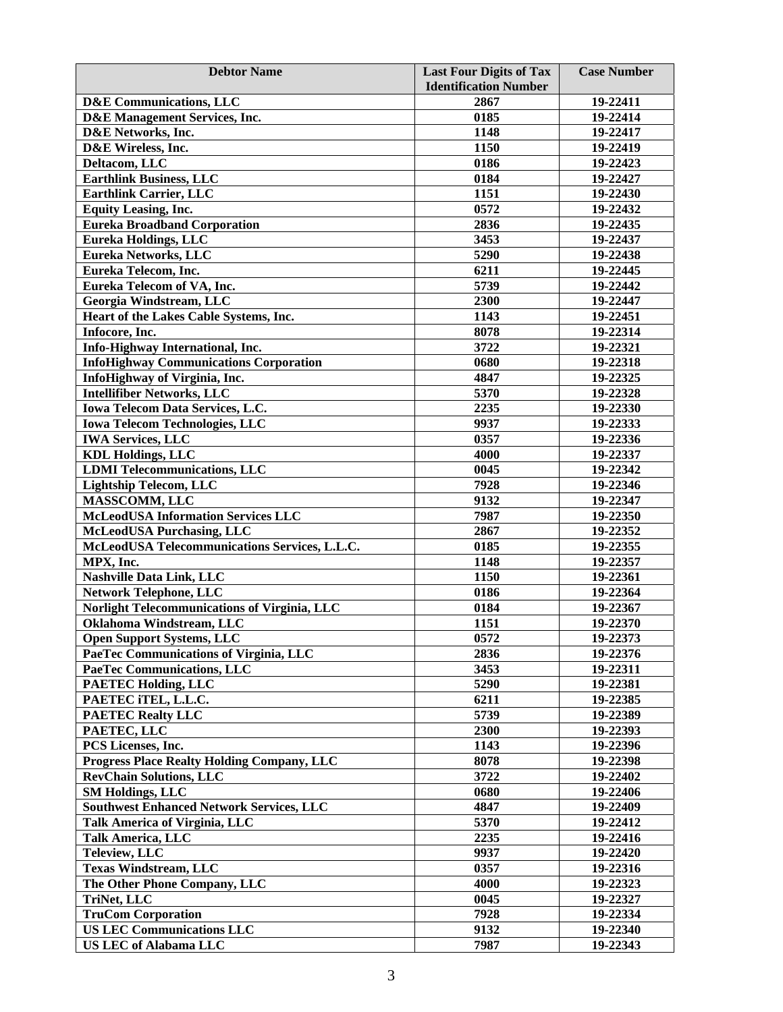| <b>Debtor Name</b>                                | <b>Last Four Digits of Tax</b><br><b>Identification Number</b> | <b>Case Number</b> |
|---------------------------------------------------|----------------------------------------------------------------|--------------------|
| <b>D&amp;E</b> Communications, LLC                | 2867                                                           | 19-22411           |
| D&E Management Services, Inc.                     | 0185                                                           | 19-22414           |
| D&E Networks, Inc.                                | 1148                                                           | 19-22417           |
| D&E Wireless, Inc.                                | 1150                                                           | 19-22419           |
| Deltacom, LLC                                     | 0186                                                           | 19-22423           |
| <b>Earthlink Business, LLC</b>                    | 0184                                                           | 19-22427           |
| <b>Earthlink Carrier, LLC</b>                     | 1151                                                           | 19-22430           |
| <b>Equity Leasing, Inc.</b>                       | 0572                                                           | 19-22432           |
| <b>Eureka Broadband Corporation</b>               | 2836                                                           | 19-22435           |
| <b>Eureka Holdings, LLC</b>                       | 3453                                                           | 19-22437           |
| Eureka Networks, LLC                              | 5290                                                           | 19-22438           |
| Eureka Telecom, Inc.                              | 6211                                                           | 19-22445           |
| Eureka Telecom of VA, Inc.                        | 5739                                                           | 19-22442           |
| Georgia Windstream, LLC                           | 2300                                                           | 19-22447           |
| Heart of the Lakes Cable Systems, Inc.            | 1143                                                           | 19-22451           |
| Infocore, Inc.                                    | 8078                                                           | 19-22314           |
|                                                   | 3722                                                           | 19-22321           |
| Info-Highway International, Inc.                  | 0680                                                           | 19-22318           |
| <b>InfoHighway Communications Corporation</b>     | 4847                                                           |                    |
| InfoHighway of Virginia, Inc.                     |                                                                | 19-22325           |
| <b>Intellifiber Networks, LLC</b>                 | 5370                                                           | 19-22328           |
| Iowa Telecom Data Services, L.C.                  | 2235                                                           | 19-22330           |
| <b>Iowa Telecom Technologies, LLC</b>             | 9937                                                           | 19-22333           |
| <b>IWA Services, LLC</b>                          | 0357                                                           | 19-22336           |
| <b>KDL Holdings, LLC</b>                          | 4000                                                           | 19-22337           |
| <b>LDMI</b> Telecommunications, LLC               | 0045                                                           | 19-22342           |
| <b>Lightship Telecom, LLC</b>                     | 7928                                                           | 19-22346           |
| MASSCOMM, LLC                                     | 9132                                                           | 19-22347           |
| <b>McLeodUSA Information Services LLC</b>         | 7987                                                           | 19-22350           |
| <b>McLeodUSA Purchasing, LLC</b>                  | 2867                                                           | 19-22352           |
| McLeodUSA Telecommunications Services, L.L.C.     | 0185                                                           | 19-22355           |
| MPX, Inc.                                         | 1148                                                           | 19-22357           |
| <b>Nashville Data Link, LLC</b>                   | 1150                                                           | 19-22361           |
| <b>Network Telephone, LLC</b>                     | 0186                                                           | 19-22364           |
| Norlight Telecommunications of Virginia, LLC      | 0184                                                           | 19-22367           |
| Oklahoma Windstream, LLC                          | 1151                                                           | 19-22370           |
| <b>Open Support Systems, LLC</b>                  | 0572                                                           | 19-22373           |
| PaeTec Communications of Virginia, LLC            | 2836                                                           | 19-22376           |
| <b>PaeTec Communications, LLC</b>                 | 3453                                                           | 19-22311           |
| <b>PAETEC Holding, LLC</b>                        | 5290                                                           | 19-22381           |
| PAETEC iTEL, L.L.C.                               | 6211                                                           | 19-22385           |
| <b>PAETEC Realty LLC</b>                          | 5739                                                           | 19-22389           |
| PAETEC, LLC                                       | 2300                                                           | 19-22393           |
| PCS Licenses, Inc.                                | 1143                                                           | 19-22396           |
| <b>Progress Place Realty Holding Company, LLC</b> | 8078                                                           | 19-22398           |
| <b>RevChain Solutions, LLC</b>                    | 3722                                                           | 19-22402           |
| <b>SM Holdings, LLC</b>                           | 0680                                                           | 19-22406           |
| <b>Southwest Enhanced Network Services, LLC</b>   | 4847                                                           | 19-22409           |
| <b>Talk America of Virginia, LLC</b>              | 5370                                                           | 19-22412           |
| <b>Talk America, LLC</b>                          | 2235                                                           | 19-22416           |
| Teleview, LLC                                     | 9937                                                           | 19-22420           |
| <b>Texas Windstream, LLC</b>                      | 0357                                                           | 19-22316           |
| The Other Phone Company, LLC                      | 4000                                                           | 19-22323           |
| TriNet, LLC                                       | 0045                                                           | 19-22327           |
| <b>TruCom Corporation</b>                         | 7928                                                           | 19-22334           |
| <b>US LEC Communications LLC</b>                  | 9132                                                           | 19-22340           |
| <b>US LEC of Alabama LLC</b>                      | 7987                                                           | 19-22343           |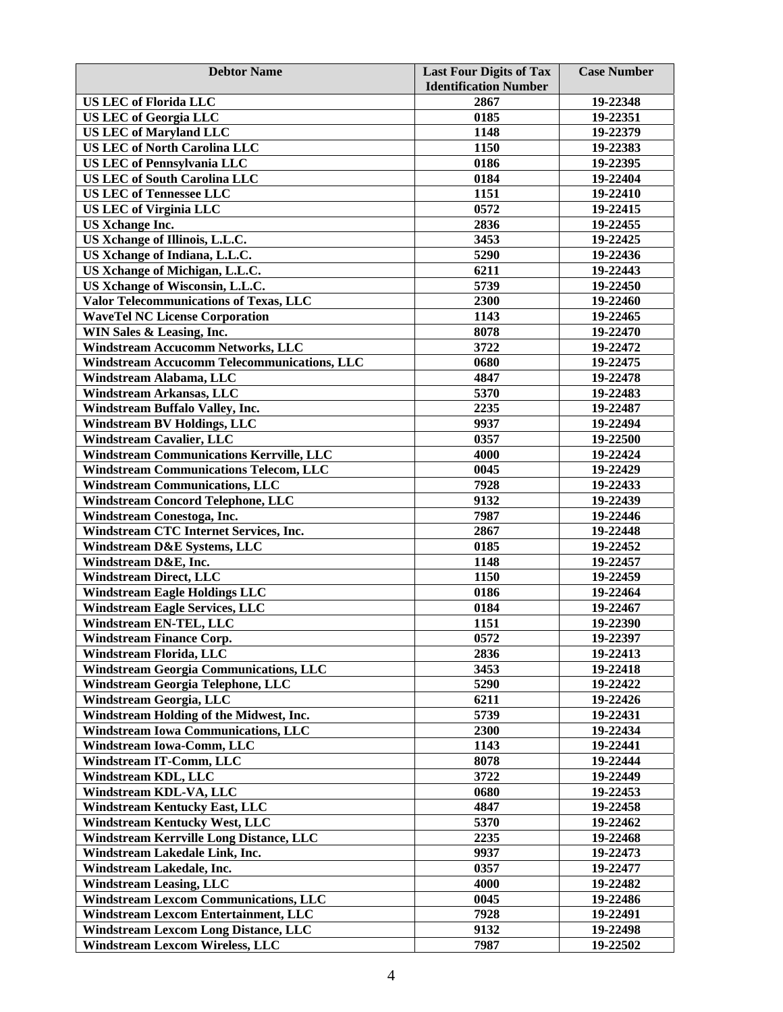| <b>Debtor Name</b>                                                                    | <b>Last Four Digits of Tax</b><br><b>Identification Number</b> | <b>Case Number</b>   |
|---------------------------------------------------------------------------------------|----------------------------------------------------------------|----------------------|
| <b>US LEC of Florida LLC</b>                                                          | 2867                                                           | 19-22348             |
| <b>US LEC of Georgia LLC</b>                                                          | 0185                                                           | 19-22351             |
| <b>US LEC of Maryland LLC</b>                                                         | 1148                                                           | 19-22379             |
| <b>US LEC of North Carolina LLC</b>                                                   | 1150                                                           | 19-22383             |
| <b>US LEC of Pennsylvania LLC</b>                                                     | 0186                                                           | 19-22395             |
| <b>US LEC of South Carolina LLC</b>                                                   | 0184                                                           | 19-22404             |
| <b>US LEC of Tennessee LLC</b>                                                        | 1151                                                           | 19-22410             |
| <b>US LEC of Virginia LLC</b>                                                         | 0572                                                           | 19-22415             |
| <b>US Xchange Inc.</b>                                                                | 2836                                                           | 19-22455             |
| US Xchange of Illinois, L.L.C.                                                        | 3453                                                           | 19-22425             |
| US Xchange of Indiana, L.L.C.                                                         | 5290                                                           | 19-22436             |
| US Xchange of Michigan, L.L.C.                                                        | 6211                                                           | 19-22443             |
| US Xchange of Wisconsin, L.L.C.                                                       | 5739                                                           | 19-22450             |
| Valor Telecommunications of Texas, LLC                                                | 2300                                                           | 19-22460             |
| <b>WaveTel NC License Corporation</b>                                                 | 1143                                                           | 19-22465             |
| WIN Sales & Leasing, Inc.                                                             | 8078                                                           | 19-22470             |
| Windstream Accucomm Networks, LLC                                                     | 3722                                                           | 19-22472             |
| <b>Windstream Accucomm Telecommunications, LLC</b>                                    | 0680                                                           | 19-22475             |
| Windstream Alabama, LLC                                                               | 4847                                                           | 19-22478             |
| <b>Windstream Arkansas, LLC</b>                                                       | 5370                                                           | 19-22483             |
| Windstream Buffalo Valley, Inc.                                                       | 2235                                                           | 19-22487             |
| <b>Windstream BV Holdings, LLC</b>                                                    | 9937                                                           | 19-22494             |
| <b>Windstream Cavalier, LLC</b>                                                       | 0357                                                           | 19-22500             |
| <b>Windstream Communications Kerrville, LLC</b>                                       | 4000                                                           | 19-22424             |
| <b>Windstream Communications Telecom, LLC</b>                                         | 0045                                                           | 19-22429             |
| <b>Windstream Communications, LLC</b>                                                 | 7928                                                           | 19-22433             |
| <b>Windstream Concord Telephone, LLC</b>                                              | 9132                                                           | 19-22439             |
| Windstream Conestoga, Inc.                                                            | 7987                                                           | 19-22446             |
| Windstream CTC Internet Services, Inc.                                                | 2867                                                           | 19-22448             |
| Windstream D&E Systems, LLC                                                           | 0185                                                           | 19-22452             |
| Windstream D&E, Inc.                                                                  | 1148                                                           | 19-22457             |
| <b>Windstream Direct, LLC</b>                                                         | 1150                                                           | 19-22459             |
| <b>Windstream Eagle Holdings LLC</b>                                                  | 0186                                                           | 19-22464             |
| <b>Windstream Eagle Services, LLC</b>                                                 | 0184                                                           | 19-22467             |
| <b>Windstream EN-TEL, LLC</b>                                                         | 1151                                                           | 19-22390             |
| <b>Windstream Finance Corp.</b>                                                       | 0572                                                           | 19-22397             |
| Windstream Florida, LLC                                                               | 2836                                                           | 19-22413             |
| <b>Windstream Georgia Communications, LLC</b>                                         | 3453                                                           | 19-22418             |
| Windstream Georgia Telephone, LLC                                                     | 5290                                                           | 19-22422             |
| Windstream Georgia, LLC                                                               | 6211                                                           | 19-22426             |
| Windstream Holding of the Midwest, Inc.                                               | 5739                                                           | 19-22431             |
| <b>Windstream Iowa Communications, LLC</b>                                            | 2300                                                           | 19-22434             |
| Windstream Iowa-Comm, LLC                                                             | 1143                                                           | 19-22441             |
| <b>Windstream IT-Comm, LLC</b>                                                        | 8078                                                           | 19-22444             |
| Windstream KDL, LLC                                                                   | 3722                                                           | 19-22449             |
| Windstream KDL-VA, LLC                                                                | 0680                                                           | 19-22453             |
| <b>Windstream Kentucky East, LLC</b>                                                  | 4847                                                           | 19-22458             |
| <b>Windstream Kentucky West, LLC</b>                                                  | 5370                                                           | 19-22462             |
| Windstream Kerrville Long Distance, LLC                                               | 2235                                                           | 19-22468             |
| Windstream Lakedale Link, Inc.                                                        | 9937                                                           | 19-22473             |
| Windstream Lakedale, Inc.                                                             | 0357                                                           | 19-22477             |
| <b>Windstream Leasing, LLC</b>                                                        | 4000                                                           | 19-22482             |
| <b>Windstream Lexcom Communications, LLC</b>                                          | 0045                                                           | 19-22486             |
| <b>Windstream Lexcom Entertainment, LLC</b>                                           | 7928<br>9132                                                   | 19-22491<br>19-22498 |
| <b>Windstream Lexcom Long Distance, LLC</b><br><b>Windstream Lexcom Wireless, LLC</b> | 7987                                                           | 19-22502             |
|                                                                                       |                                                                |                      |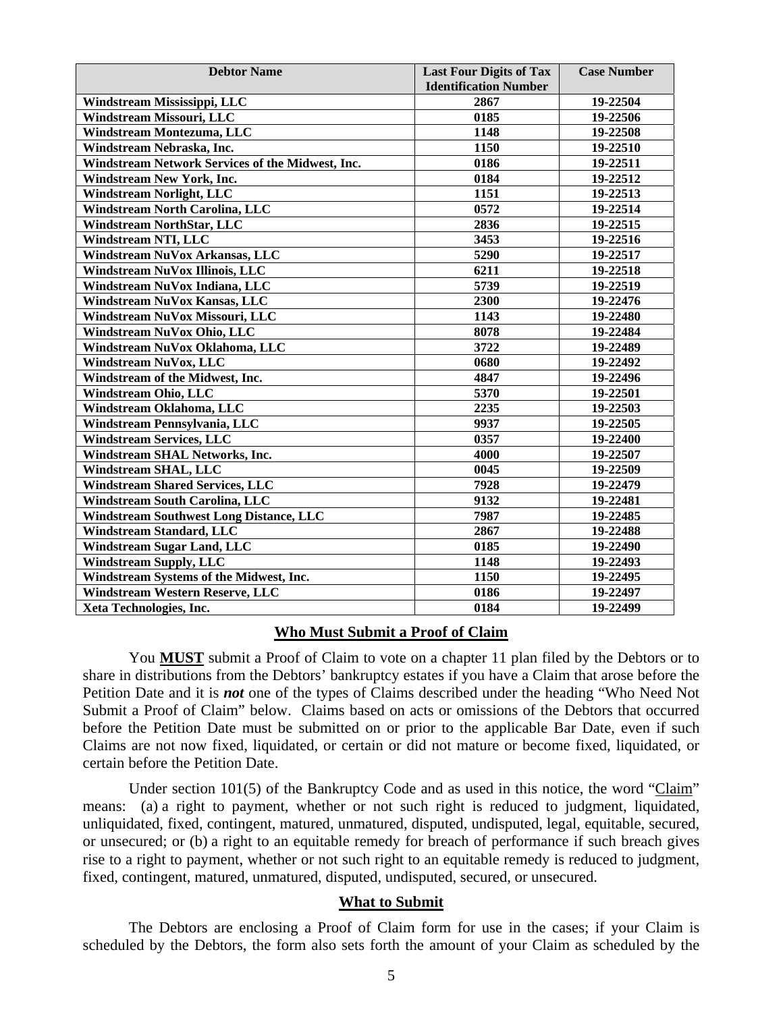| <b>Debtor Name</b>                               | <b>Last Four Digits of Tax</b> | <b>Case Number</b> |
|--------------------------------------------------|--------------------------------|--------------------|
|                                                  | <b>Identification Number</b>   |                    |
| Windstream Mississippi, LLC                      | 2867                           | 19-22504           |
| Windstream Missouri, LLC                         | 0185                           | 19-22506           |
| Windstream Montezuma, LLC                        | 1148                           | 19-22508           |
| Windstream Nebraska, Inc.                        | 1150                           | 19-22510           |
| Windstream Network Services of the Midwest, Inc. | 0186                           | 19-22511           |
| <b>Windstream New York, Inc.</b>                 | 0184                           | 19-22512           |
| <b>Windstream Norlight, LLC</b>                  | 1151                           | 19-22513           |
| <b>Windstream North Carolina, LLC</b>            | 0572                           | 19-22514           |
| <b>Windstream NorthStar, LLC</b>                 | 2836                           | 19-22515           |
| <b>Windstream NTI, LLC</b>                       | 3453                           | 19-22516           |
| Windstream NuVox Arkansas, LLC                   | 5290                           | 19-22517           |
| Windstream NuVox Illinois, LLC                   | 6211                           | 19-22518           |
| Windstream NuVox Indiana, LLC                    | 5739                           | 19-22519           |
| Windstream NuVox Kansas, LLC                     | 2300                           | 19-22476           |
| Windstream NuVox Missouri, LLC                   | 1143                           | 19-22480           |
| Windstream NuVox Ohio, LLC                       | 8078                           | 19-22484           |
| Windstream NuVox Oklahoma, LLC                   | 3722                           | 19-22489           |
| Windstream NuVox, LLC                            | 0680                           | 19-22492           |
| Windstream of the Midwest, Inc.                  | 4847                           | 19-22496           |
| Windstream Ohio, LLC                             | 5370                           | 19-22501           |
| Windstream Oklahoma, LLC                         | 2235                           | 19-22503           |
| Windstream Pennsylvania, LLC                     | 9937                           | 19-22505           |
| <b>Windstream Services, LLC</b>                  | 0357                           | 19-22400           |
| Windstream SHAL Networks, Inc.                   | 4000                           | 19-22507           |
| <b>Windstream SHAL, LLC</b>                      | 0045                           | 19-22509           |
| <b>Windstream Shared Services, LLC</b>           | 7928                           | 19-22479           |
| <b>Windstream South Carolina, LLC</b>            | 9132                           | 19-22481           |
| <b>Windstream Southwest Long Distance, LLC</b>   | 7987                           | 19-22485           |
| Windstream Standard, LLC                         | 2867                           | 19-22488           |
| <b>Windstream Sugar Land, LLC</b>                | 0185                           | 19-22490           |
| <b>Windstream Supply, LLC</b>                    | 1148                           | 19-22493           |
| Windstream Systems of the Midwest, Inc.          | 1150                           | 19-22495           |
| <b>Windstream Western Reserve, LLC</b>           | 0186                           | 19-22497           |
| Xeta Technologies, Inc.                          | 0184                           | 19-22499           |

#### **Who Must Submit a Proof of Claim**

You **MUST** submit a Proof of Claim to vote on a chapter 11 plan filed by the Debtors or to share in distributions from the Debtors' bankruptcy estates if you have a Claim that arose before the Petition Date and it is *not* one of the types of Claims described under the heading "Who Need Not Submit a Proof of Claim" below. Claims based on acts or omissions of the Debtors that occurred before the Petition Date must be submitted on or prior to the applicable Bar Date, even if such Claims are not now fixed, liquidated, or certain or did not mature or become fixed, liquidated, or certain before the Petition Date.

Under section 101(5) of the Bankruptcy Code and as used in this notice, the word "Claim" means: (a) a right to payment, whether or not such right is reduced to judgment, liquidated, unliquidated, fixed, contingent, matured, unmatured, disputed, undisputed, legal, equitable, secured, or unsecured; or (b) a right to an equitable remedy for breach of performance if such breach gives rise to a right to payment, whether or not such right to an equitable remedy is reduced to judgment, fixed, contingent, matured, unmatured, disputed, undisputed, secured, or unsecured.

#### **What to Submit**

The Debtors are enclosing a Proof of Claim form for use in the cases; if your Claim is scheduled by the Debtors, the form also sets forth the amount of your Claim as scheduled by the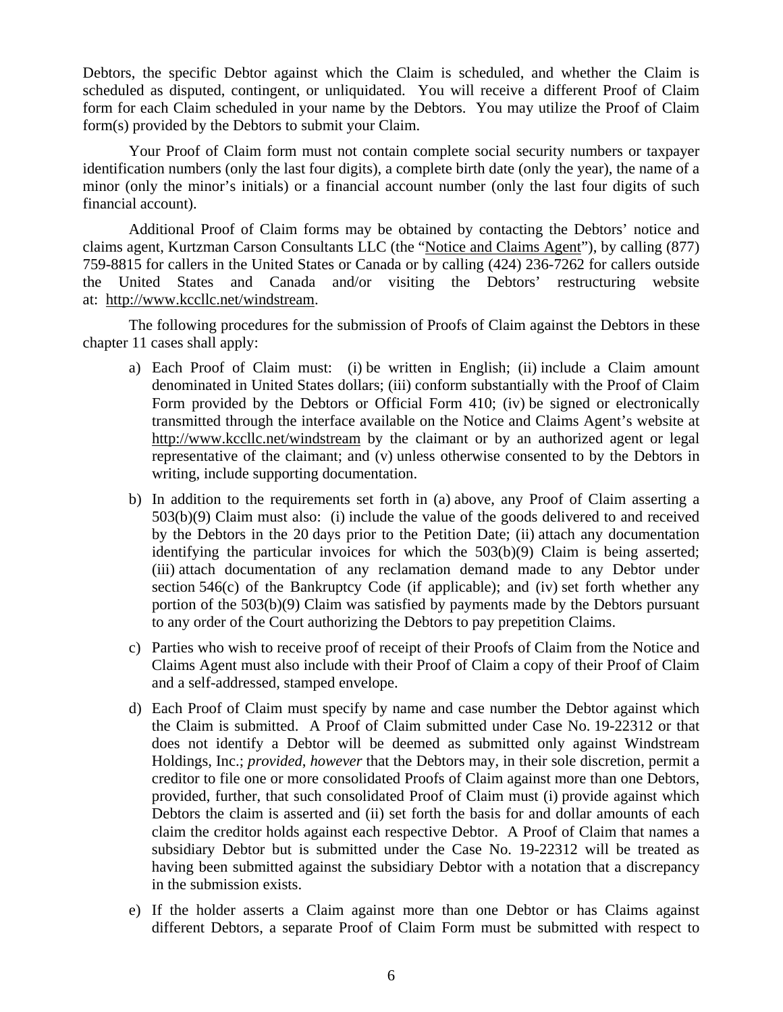Debtors, the specific Debtor against which the Claim is scheduled, and whether the Claim is scheduled as disputed, contingent, or unliquidated. You will receive a different Proof of Claim form for each Claim scheduled in your name by the Debtors. You may utilize the Proof of Claim form(s) provided by the Debtors to submit your Claim.

Your Proof of Claim form must not contain complete social security numbers or taxpayer identification numbers (only the last four digits), a complete birth date (only the year), the name of a minor (only the minor's initials) or a financial account number (only the last four digits of such financial account).

Additional Proof of Claim forms may be obtained by contacting the Debtors' notice and claims agent, Kurtzman Carson Consultants LLC (the "Notice and Claims Agent"), by calling (877) 759-8815 for callers in the United States or Canada or by calling (424) 236-7262 for callers outside the United States and Canada and/or visiting the Debtors' restructuring website at: http://www.kccllc.net/windstream.

The following procedures for the submission of Proofs of Claim against the Debtors in these chapter 11 cases shall apply:

- a) Each Proof of Claim must: (i) be written in English; (ii) include a Claim amount denominated in United States dollars; (iii) conform substantially with the Proof of Claim Form provided by the Debtors or Official Form 410; (iv) be signed or electronically transmitted through the interface available on the Notice and Claims Agent's website at http://www.kccllc.net/windstream by the claimant or by an authorized agent or legal representative of the claimant; and (v) unless otherwise consented to by the Debtors in writing, include supporting documentation.
- b) In addition to the requirements set forth in (a) above, any Proof of Claim asserting a 503(b)(9) Claim must also: (i) include the value of the goods delivered to and received by the Debtors in the 20 days prior to the Petition Date; (ii) attach any documentation identifying the particular invoices for which the 503(b)(9) Claim is being asserted; (iii) attach documentation of any reclamation demand made to any Debtor under section 546(c) of the Bankruptcy Code (if applicable); and (iv) set forth whether any portion of the 503(b)(9) Claim was satisfied by payments made by the Debtors pursuant to any order of the Court authorizing the Debtors to pay prepetition Claims.
- c) Parties who wish to receive proof of receipt of their Proofs of Claim from the Notice and Claims Agent must also include with their Proof of Claim a copy of their Proof of Claim and a self-addressed, stamped envelope.
- d) Each Proof of Claim must specify by name and case number the Debtor against which the Claim is submitted. A Proof of Claim submitted under Case No. 19-22312 or that does not identify a Debtor will be deemed as submitted only against Windstream Holdings, Inc.; *provided*, *however* that the Debtors may, in their sole discretion, permit a creditor to file one or more consolidated Proofs of Claim against more than one Debtors, provided, further, that such consolidated Proof of Claim must (i) provide against which Debtors the claim is asserted and (ii) set forth the basis for and dollar amounts of each claim the creditor holds against each respective Debtor. A Proof of Claim that names a subsidiary Debtor but is submitted under the Case No. 19-22312 will be treated as having been submitted against the subsidiary Debtor with a notation that a discrepancy in the submission exists.
- e) If the holder asserts a Claim against more than one Debtor or has Claims against different Debtors, a separate Proof of Claim Form must be submitted with respect to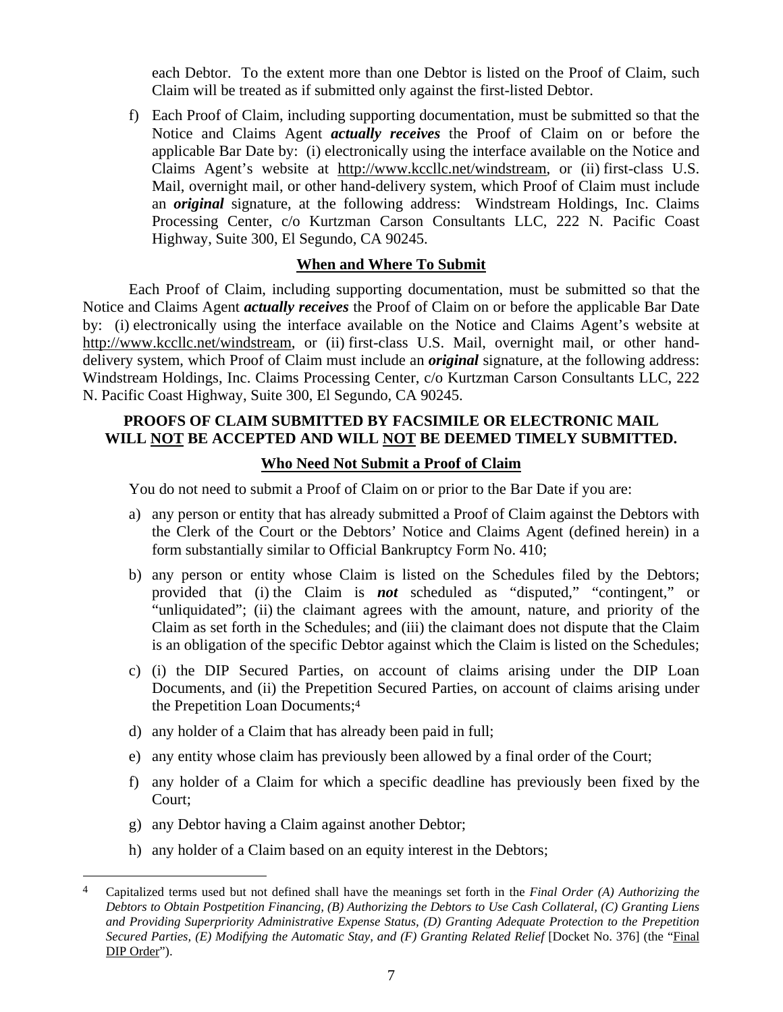each Debtor. To the extent more than one Debtor is listed on the Proof of Claim, such Claim will be treated as if submitted only against the first-listed Debtor.

f) Each Proof of Claim, including supporting documentation, must be submitted so that the Notice and Claims Agent *actually receives* the Proof of Claim on or before the applicable Bar Date by: (i) electronically using the interface available on the Notice and Claims Agent's website at http://www.kccllc.net/windstream, or (ii) first-class U.S. Mail, overnight mail, or other hand-delivery system, which Proof of Claim must include an *original* signature, at the following address: Windstream Holdings, Inc. Claims Processing Center, c/o Kurtzman Carson Consultants LLC, 222 N. Pacific Coast Highway, Suite 300, El Segundo, CA 90245.

# **When and Where To Submit**

 Each Proof of Claim, including supporting documentation, must be submitted so that the Notice and Claims Agent *actually receives* the Proof of Claim on or before the applicable Bar Date by: (i) electronically using the interface available on the Notice and Claims Agent's website at http://www.kccllc.net/windstream, or (ii) first-class U.S. Mail, overnight mail, or other handdelivery system, which Proof of Claim must include an *original* signature, at the following address: Windstream Holdings, Inc. Claims Processing Center, c/o Kurtzman Carson Consultants LLC, 222 N. Pacific Coast Highway, Suite 300, El Segundo, CA 90245.

# **PROOFS OF CLAIM SUBMITTED BY FACSIMILE OR ELECTRONIC MAIL WILL NOT BE ACCEPTED AND WILL NOT BE DEEMED TIMELY SUBMITTED.**

## **Who Need Not Submit a Proof of Claim**

You do not need to submit a Proof of Claim on or prior to the Bar Date if you are:

- a) any person or entity that has already submitted a Proof of Claim against the Debtors with the Clerk of the Court or the Debtors' Notice and Claims Agent (defined herein) in a form substantially similar to Official Bankruptcy Form No. 410;
- b) any person or entity whose Claim is listed on the Schedules filed by the Debtors; provided that (i) the Claim is *not* scheduled as "disputed," "contingent," or "unliquidated"; (ii) the claimant agrees with the amount, nature, and priority of the Claim as set forth in the Schedules; and (iii) the claimant does not dispute that the Claim is an obligation of the specific Debtor against which the Claim is listed on the Schedules;
- c) (i) the DIP Secured Parties, on account of claims arising under the DIP Loan Documents, and (ii) the Prepetition Secured Parties, on account of claims arising under the Prepetition Loan Documents;4
- d) any holder of a Claim that has already been paid in full;
- e) any entity whose claim has previously been allowed by a final order of the Court;
- f) any holder of a Claim for which a specific deadline has previously been fixed by the Court;
- g) any Debtor having a Claim against another Debtor;

 $\overline{a}$ 

h) any holder of a Claim based on an equity interest in the Debtors;

<sup>4</sup> Capitalized terms used but not defined shall have the meanings set forth in the *Final Order (A) Authorizing the Debtors to Obtain Postpetition Financing, (B) Authorizing the Debtors to Use Cash Collateral, (C) Granting Liens and Providing Superpriority Administrative Expense Status, (D) Granting Adequate Protection to the Prepetition Secured Parties, (E) Modifying the Automatic Stay, and (F) Granting Related Relief* [Docket No. 376] (the "Final DIP Order").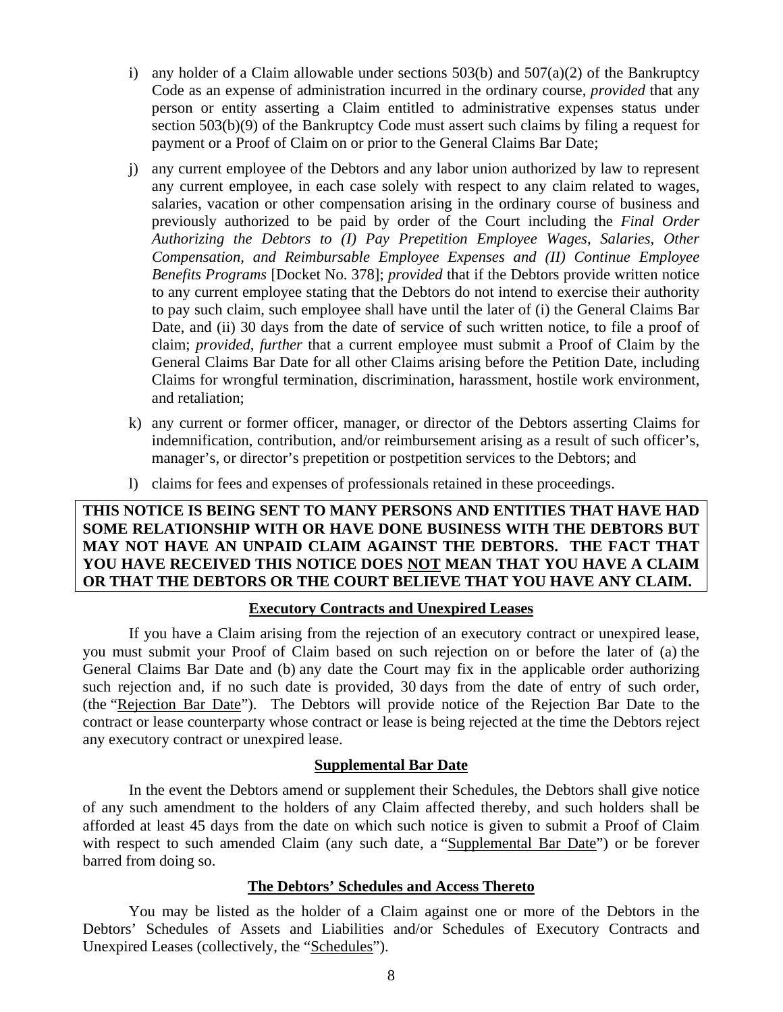- i) any holder of a Claim allowable under sections  $503(b)$  and  $507(a)(2)$  of the Bankruptcy Code as an expense of administration incurred in the ordinary course, *provided* that any person or entity asserting a Claim entitled to administrative expenses status under section 503(b)(9) of the Bankruptcy Code must assert such claims by filing a request for payment or a Proof of Claim on or prior to the General Claims Bar Date;
- j) any current employee of the Debtors and any labor union authorized by law to represent any current employee, in each case solely with respect to any claim related to wages, salaries, vacation or other compensation arising in the ordinary course of business and previously authorized to be paid by order of the Court including the *Final Order Authorizing the Debtors to (I) Pay Prepetition Employee Wages, Salaries, Other Compensation, and Reimbursable Employee Expenses and (II) Continue Employee Benefits Programs* [Docket No. 378]; *provided* that if the Debtors provide written notice to any current employee stating that the Debtors do not intend to exercise their authority to pay such claim, such employee shall have until the later of (i) the General Claims Bar Date, and (ii) 30 days from the date of service of such written notice, to file a proof of claim; *provided, further* that a current employee must submit a Proof of Claim by the General Claims Bar Date for all other Claims arising before the Petition Date, including Claims for wrongful termination, discrimination, harassment, hostile work environment, and retaliation;
- k) any current or former officer, manager, or director of the Debtors asserting Claims for indemnification, contribution, and/or reimbursement arising as a result of such officer's, manager's, or director's prepetition or postpetition services to the Debtors; and
- l) claims for fees and expenses of professionals retained in these proceedings.

# **THIS NOTICE IS BEING SENT TO MANY PERSONS AND ENTITIES THAT HAVE HAD SOME RELATIONSHIP WITH OR HAVE DONE BUSINESS WITH THE DEBTORS BUT MAY NOT HAVE AN UNPAID CLAIM AGAINST THE DEBTORS. THE FACT THAT YOU HAVE RECEIVED THIS NOTICE DOES NOT MEAN THAT YOU HAVE A CLAIM OR THAT THE DEBTORS OR THE COURT BELIEVE THAT YOU HAVE ANY CLAIM.**

#### **Executory Contracts and Unexpired Leases**

If you have a Claim arising from the rejection of an executory contract or unexpired lease, you must submit your Proof of Claim based on such rejection on or before the later of (a) the General Claims Bar Date and (b) any date the Court may fix in the applicable order authorizing such rejection and, if no such date is provided, 30 days from the date of entry of such order, (the "Rejection Bar Date"). The Debtors will provide notice of the Rejection Bar Date to the contract or lease counterparty whose contract or lease is being rejected at the time the Debtors reject any executory contract or unexpired lease.

#### **Supplemental Bar Date**

In the event the Debtors amend or supplement their Schedules, the Debtors shall give notice of any such amendment to the holders of any Claim affected thereby, and such holders shall be afforded at least 45 days from the date on which such notice is given to submit a Proof of Claim with respect to such amended Claim (any such date, a "Supplemental Bar Date") or be forever barred from doing so.

#### **The Debtors' Schedules and Access Thereto**

You may be listed as the holder of a Claim against one or more of the Debtors in the Debtors' Schedules of Assets and Liabilities and/or Schedules of Executory Contracts and Unexpired Leases (collectively, the "Schedules").